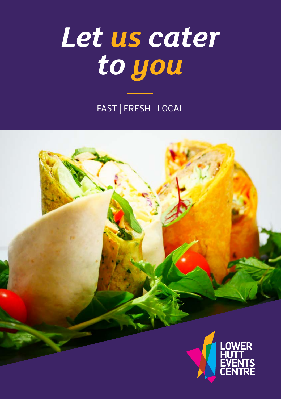# *Let us cater to you*

FAST | FRESH | LOCAL

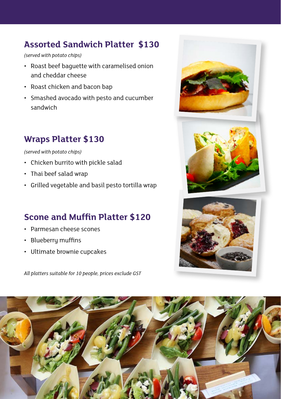# **Assorted Sandwich Platter \$130**

*(served with potato chips)*

- Roast beef baguette with caramelised onion and cheddar cheese
- Roast chicken and bacon bap
- Smashed avocado with pesto and cucumber sandwich

# **Wraps Platter \$130**

*(served with potato chips)*

- Chicken burrito with pickle salad
- Thai beef salad wrap
- Grilled vegetable and basil pesto tortilla wrap

## **Scone and Muffin Platter \$120**

- Parmesan cheese scones
- Blueberry muffins
- Ultimate brownie cupcakes

*All platters suitable for 10 people, prices exclude GST*





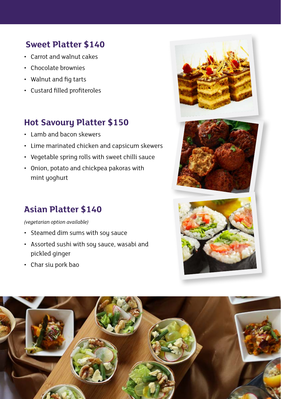# **Sweet Platter \$140**

- Carrot and walnut cakes
- Chocolate brownies
- Walnut and fig tarts
- Custard filled profiteroles

# **Hot Savoury Platter \$150**

- Lamb and bacon skewers
- Lime marinated chicken and capsicum skewers
- Vegetable spring rolls with sweet chilli sauce
- Onion, potato and chickpea pakoras with mint yoghurt

## **Asian Platter \$140**

*(vegetarian option available)*

- Steamed dim sums with soy sauce
- Assorted sushi with soy sauce, wasabi and pickled ginger
- Char siu pork bao







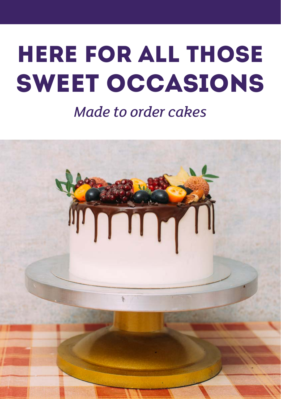# HERE FOR ALL THOSE SWEET OCCASIONS

# *Made to order cakes*

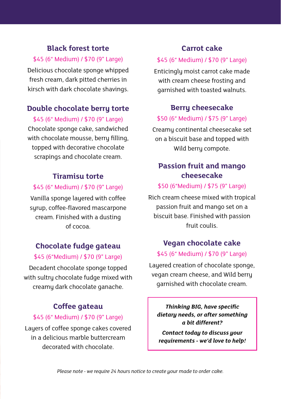#### **Black forest torte**

#### \$45 (6" Medium) / \$70 (9" Large)

Delicious chocolate sponge whipped fresh cream, dark pitted cherries in kirsch with dark chocolate shavings.

#### **Double chocolate berry torte**

\$45 (6" Medium) / \$70 (9" Large) Chocolate sponge cake, sandwiched with chocolate mousse, berry filling, topped with decorative chocolate scrapings and chocolate cream.

#### **Tiramisu torte**

#### \$45 (6" Medium) / \$70 (9" Large)

Vanilla sponge layered with coffee syrup, coffee-flavored mascarpone cream. Finished with a dusting of cocoa.

#### **Chocolate fudge gateau**

#### \$45 (6"Medium) / \$70 (9" Large)

Decadent chocolate sponge topped with sultry chocolate fudge mixed with creamy dark chocolate ganache.

#### **Coffee gateau**

#### \$45 (6" Medium) / \$70 (9" Large)

Layers of coffee sponge cakes covered in a delicious marble buttercream decorated with chocolate.

#### **Carrot cake**

#### \$45 (6" Medium) / \$70 (9" Large)

Enticingly moist carrot cake made with cream cheese frosting and garnished with toasted walnuts.

#### **Berry cheesecake**

#### \$50 (6" Medium) / \$75 (9" Large)

Creamy continental cheesecake set on a biscuit base and topped with Wild berry compote.

#### **Passion fruit and mango cheesecake**

#### \$50 (6"Medium) / \$75 (9" Large)

Rich cream cheese mixed with tropical passion fruit and mango set on a biscuit base. Finished with passion fruit coulis.

#### **Vegan chocolate cake**

#### \$45 (6" Medium) / \$70 (9" Large)

Layered creation of chocolate sponge, vegan cream cheese, and Wild berry garnished with chocolate cream.

*Thinking BIG, have specific dietary needs, or after something a bit different?*

*Contact today to discuss your requirements - we'd love to help!*

*Please note - we require 24 hours notice to create your made to order cake.*